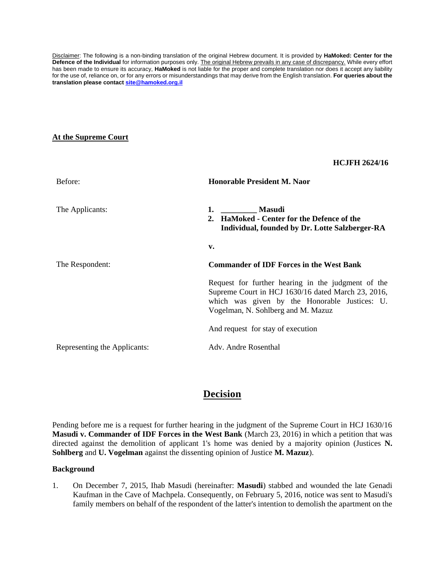Disclaimer: The following is a non-binding translation of the original Hebrew document. It is provided by **HaMoked: Center for the Defence of the Individual** for information purposes only. The original Hebrew prevails in any case of discrepancy. While every effort has been made to ensure its accuracy, **HaMoked** is not liable for the proper and complete translation nor does it accept any liability for the use of, reliance on, or for any errors or misunderstandings that may derive from the English translation. **For queries about the translation please contact [site@hamoked.org.il](mailto:site@hamoked.org.il)**

## **At the Supreme Court**

|                              | <b>HCJFH 2624/16</b>                                                                                                                                                                            |
|------------------------------|-------------------------------------------------------------------------------------------------------------------------------------------------------------------------------------------------|
| Before:                      | <b>Honorable President M. Naor</b>                                                                                                                                                              |
| The Applicants:              | 1. Masudi<br>2. HaMoked - Center for the Defence of the<br>Individual, founded by Dr. Lotte Salzberger-RA                                                                                       |
|                              | v.                                                                                                                                                                                              |
| The Respondent:              | <b>Commander of IDF Forces in the West Bank</b>                                                                                                                                                 |
|                              | Request for further hearing in the judgment of the<br>Supreme Court in HCJ 1630/16 dated March 23, 2016,<br>which was given by the Honorable Justices: U.<br>Vogelman, N. Sohlberg and M. Mazuz |
|                              | And request for stay of execution                                                                                                                                                               |
| Representing the Applicants: | Adv. Andre Rosenthal                                                                                                                                                                            |

# **Decision**

Pending before me is a request for further hearing in the judgment of the Supreme Court in HCJ 1630/16 **Masudi v. Commander of IDF Forces in the West Bank** (March 23, 2016) in which a petition that was directed against the demolition of applicant 1's home was denied by a majority opinion (Justices **N. Sohlberg** and **U. Vogelman** against the dissenting opinion of Justice **M. Mazuz**).

## **Background**

1. On December 7, 2015, Ihab Masudi (hereinafter: **Masudi**) stabbed and wounded the late Genadi Kaufman in the Cave of Machpela. Consequently, on February 5, 2016, notice was sent to Masudi's family members on behalf of the respondent of the latter's intention to demolish the apartment on the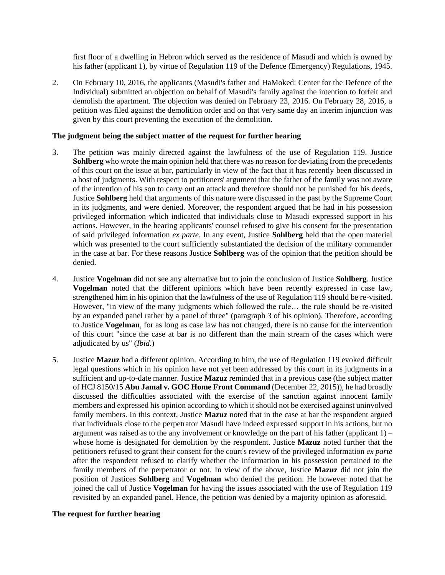first floor of a dwelling in Hebron which served as the residence of Masudi and which is owned by his father (applicant 1), by virtue of Regulation 119 of the Defence (Emergency) Regulations, 1945.

2. On February 10, 2016, the applicants (Masudi's father and HaMoked: Center for the Defence of the Individual) submitted an objection on behalf of Masudi's family against the intention to forfeit and demolish the apartment. The objection was denied on February 23, 2016. On February 28, 2016, a petition was filed against the demolition order and on that very same day an interim injunction was given by this court preventing the execution of the demolition.

## **The judgment being the subject matter of the request for further hearing**

- 3. The petition was mainly directed against the lawfulness of the use of Regulation 119. Justice **Sohlberg** who wrote the main opinion held that there was no reason for deviating from the precedents of this court on the issue at bar, particularly in view of the fact that it has recently been discussed in a host of judgments. With respect to petitioners' argument that the father of the family was not aware of the intention of his son to carry out an attack and therefore should not be punished for his deeds, Justice **Sohlberg** held that arguments of this nature were discussed in the past by the Supreme Court in its judgments, and were denied. Moreover, the respondent argued that he had in his possession privileged information which indicated that individuals close to Masudi expressed support in his actions. However, in the hearing applicants' counsel refused to give his consent for the presentation of said privileged information *ex parte*. In any event, Justice **Sohlberg** held that the open material which was presented to the court sufficiently substantiated the decision of the military commander in the case at bar. For these reasons Justice **Sohlberg** was of the opinion that the petition should be denied.
- 4. Justice **Vogelman** did not see any alternative but to join the conclusion of Justice **Sohlberg**. Justice **Vogelman** noted that the different opinions which have been recently expressed in case law, strengthened him in his opinion that the lawfulness of the use of Regulation 119 should be re-visited. However, "in view of the many judgments which followed the rule… the rule should be re-visited by an expanded panel rather by a panel of three" (paragraph 3 of his opinion). Therefore, according to Justice **Vogelman**, for as long as case law has not changed, there is no cause for the intervention of this court "since the case at bar is no different than the main stream of the cases which were adjudicated by us" (*Ibid*.)
- 5. Justice **Mazuz** had a different opinion. According to him, the use of Regulation 119 evoked difficult legal questions which in his opinion have not yet been addressed by this court in its judgments in a sufficient and up-to-date manner. Justice **Mazuz** reminded that in a previous case (the subject matter of HCJ 8150/15 **Abu Jamal v. GOC Home Front Command** (December 22, 2015)), he had broadly discussed the difficulties associated with the exercise of the sanction against innocent family members and expressed his opinion according to which it should not be exercised against uninvolved family members. In this context, Justice **Mazuz** noted that in the case at bar the respondent argued that individuals close to the perpetrator Masudi have indeed expressed support in his actions, but no argument was raised as to the any involvement or knowledge on the part of his father (applicant  $1$ ) – whose home is designated for demolition by the respondent. Justice **Mazuz** noted further that the petitioners refused to grant their consent for the court's review of the privileged information *ex parte* after the respondent refused to clarify whether the information in his possession pertained to the family members of the perpetrator or not. In view of the above, Justice **Mazuz** did not join the position of Justices **Sohlberg** and **Vogelman** who denied the petition. He however noted that he joined the call of Justice **Vogelman** for having the issues associated with the use of Regulation 119 revisited by an expanded panel. Hence, the petition was denied by a majority opinion as aforesaid.

## **The request for further hearing**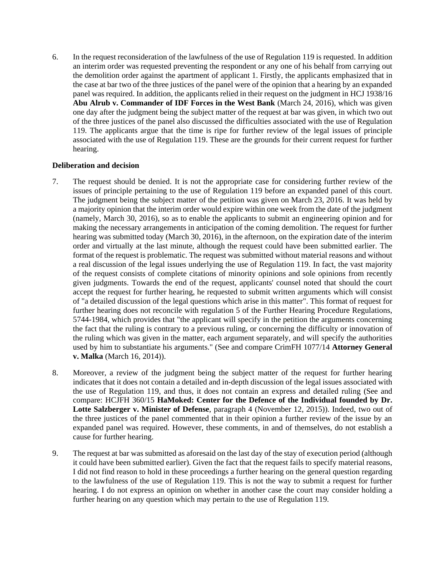6. In the request reconsideration of the lawfulness of the use of Regulation 119 is requested. In addition an interim order was requested preventing the respondent or any one of his behalf from carrying out the demolition order against the apartment of applicant 1. Firstly, the applicants emphasized that in the case at bar two of the three justices of the panel were of the opinion that a hearing by an expanded panel was required. In addition, the applicants relied in their request on the judgment in HCJ 1938/16 **Abu Alrub v. Commander of IDF Forces in the West Bank** (March 24, 2016), which was given one day after the judgment being the subject matter of the request at bar was given, in which two out of the three justices of the panel also discussed the difficulties associated with the use of Regulation 119. The applicants argue that the time is ripe for further review of the legal issues of principle associated with the use of Regulation 119. These are the grounds for their current request for further hearing.

## **Deliberation and decision**

- 7. The request should be denied. It is not the appropriate case for considering further review of the issues of principle pertaining to the use of Regulation 119 before an expanded panel of this court. The judgment being the subject matter of the petition was given on March 23, 2016. It was held by a majority opinion that the interim order would expire within one week from the date of the judgment (namely, March 30, 2016), so as to enable the applicants to submit an engineering opinion and for making the necessary arrangements in anticipation of the coming demolition. The request for further hearing was submitted today (March 30, 2016), in the afternoon, on the expiration date of the interim order and virtually at the last minute, although the request could have been submitted earlier. The format of the request is problematic. The request was submitted without material reasons and without a real discussion of the legal issues underlying the use of Regulation 119. In fact, the vast majority of the request consists of complete citations of minority opinions and sole opinions from recently given judgments. Towards the end of the request, applicants' counsel noted that should the court accept the request for further hearing, he requested to submit written arguments which will consist of "a detailed discussion of the legal questions which arise in this matter". This format of request for further hearing does not reconcile with regulation 5 of the Further Hearing Procedure Regulations, 5744-1984, which provides that "the applicant will specify in the petition the arguments concerning the fact that the ruling is contrary to a previous ruling, or concerning the difficulty or innovation of the ruling which was given in the matter, each argument separately, and will specify the authorities used by him to substantiate his arguments." (See and compare CrimFH 1077/14 **Attorney General v. Malka** (March 16, 2014)).
- 8. Moreover, a review of the judgment being the subject matter of the request for further hearing indicates that it does not contain a detailed and in-depth discussion of the legal issues associated with the use of Regulation 119, and thus, it does not contain an express and detailed ruling (See and compare: HCJFH 360/15 **HaMoked: Center for the Defence of the Individual founded by Dr. Lotte Salzberger v. Minister of Defense**, paragraph 4 (November 12, 2015)). Indeed, two out of the three justices of the panel commented that in their opinion a further review of the issue by an expanded panel was required. However, these comments, in and of themselves, do not establish a cause for further hearing.
- 9. The request at bar was submitted as aforesaid on the last day of the stay of execution period (although it could have been submitted earlier). Given the fact that the request fails to specify material reasons, I did not find reason to hold in these proceedings a further hearing on the general question regarding to the lawfulness of the use of Regulation 119. This is not the way to submit a request for further hearing. I do not express an opinion on whether in another case the court may consider holding a further hearing on any question which may pertain to the use of Regulation 119.